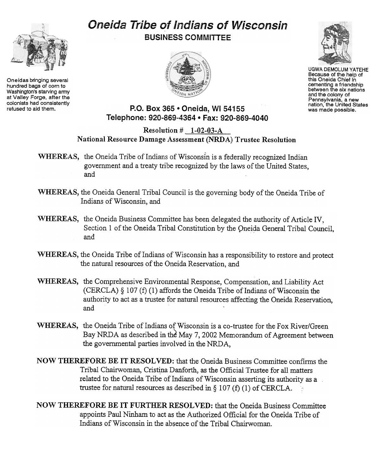## Oneida Tribe of Indians of Wisconsin BUSINESS COMMITTEE





UGWA DEMOLUMYATEHE Because of the help of this Oneida Chief in cementing a friendship between the six nations and the colony of Pennsylvania, a new nation, the United States was made possible.





Oneidas bringing several hundred bags of corn to Washington's starving army at Valley Forge, after the colonists had consistently<br>refused to aid them.

## P.O. Box 365 . Oneida, WI 54155 Telephone: 920-869-4364 · Fax: 920-869-4040

## Resolution # 1-02-03-A National Resource Damage Assessment (NRDA) Trustee Resolution

- WHEREAS, the Oneida Tribe of Indians of Wisconsin is a federally recognized Indian government and a treaty tribe recognized by the laws of the United States, and
- WHEREAS, the Oneida General Tribal Council is the governing body of the Oneida Tribe of Indians of Wisconsin, and
- WHEREAS, the Oneida Business Committee has been delegated the authority of Article IV, Section 1 of the Oneida Tribal Constitution by the Oneida General Tribal Council, and
- WHEREAS, the Oneida Tribe of Indians of Wisconsin has a responsibility to restore and protect the natural resources of the Oneida Reservation, and
- WHEREAS, the Comprehensive Environmental Response, Compensation, and Liability Act (CERCLA) § 107 (f) (1) affords the Oneida Tribe of Indians of Wisconsin the authority to act as a trustee for natural resources affecting the Oneida Reservation, and
- WHEREAS, the Oneida Tribe of Indians of Wisconsin is a co-trustee for the Fox River/Green Bay NRDA as described in the May 7, 2002 Memorandum of Agreement between the governmental parties involved in the NRDA,
- NOW THEREFORE BE IT RESOLVED: that the Oneida Business Committee confirms the Tribal Chairwoman, Cristina Danforth, as the Official Trustee for all matters related to the Oneida Tribe of Indians of Wisconsin asserting its authority as a trustee for natural resources as described in § 107 (f) (1) of CERCLA.
- NOW THEREFORE BE IT FURTHER RESOLVED: that the Oneida Business Committee appoints Paul Ninham to act as the Authorized Official for the Oneida Tribe of Indians of Wisconsin in the absence of the Tribal Chairwoman.